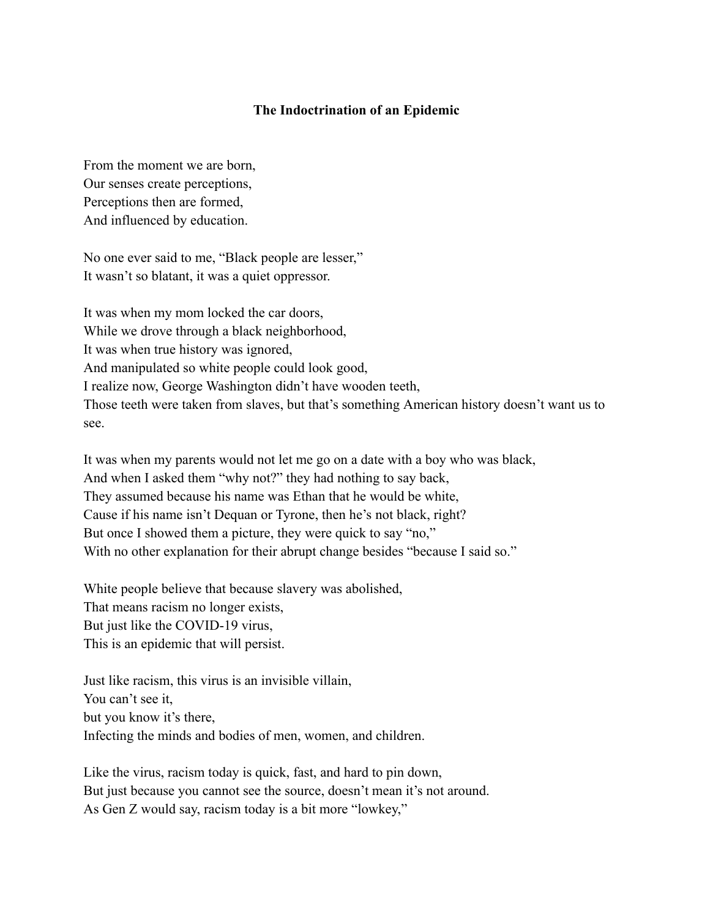## **The Indoctrination of an Epidemic**

From the moment we are born, Our senses create perceptions, Perceptions then are formed, And influenced by education.

No one ever said to me, "Black people are lesser," It wasn't so blatant, it was a quiet oppressor.

It was when my mom locked the car doors, While we drove through a black neighborhood, It was when true history was ignored, And manipulated so white people could look good, I realize now, George Washington didn't have wooden teeth, Those teeth were taken from slaves, but that's something American history doesn't want us to see.

It was when my parents would not let me go on a date with a boy who was black, And when I asked them "why not?" they had nothing to say back, They assumed because his name was Ethan that he would be white, Cause if his name isn't Dequan or Tyrone, then he's not black, right? But once I showed them a picture, they were quick to say "no," With no other explanation for their abrupt change besides "because I said so."

White people believe that because slavery was abolished, That means racism no longer exists, But just like the COVID-19 virus, This is an epidemic that will persist.

Just like racism, this virus is an invisible villain, You can't see it, but you know it's there, Infecting the minds and bodies of men, women, and children.

Like the virus, racism today is quick, fast, and hard to pin down, But just because you cannot see the source, doesn't mean it's not around. As Gen Z would say, racism today is a bit more "lowkey,"